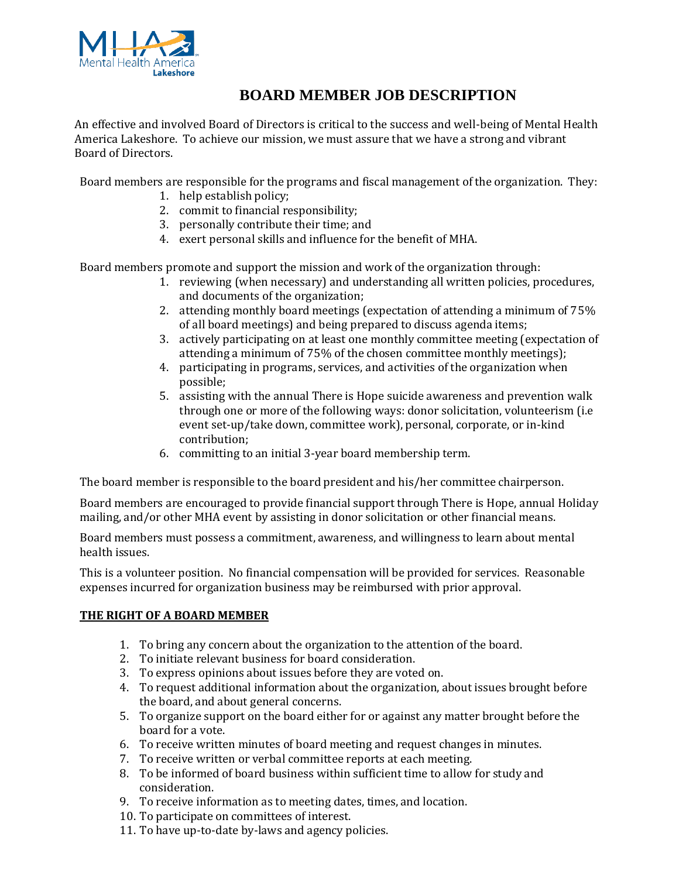

# **BOARD MEMBER JOB DESCRIPTION**

An effective and involved Board of Directors is critical to the success and well-being of Mental Health America Lakeshore. To achieve our mission, we must assure that we have a strong and vibrant Board of Directors.

Board members are responsible for the programs and fiscal management of the organization. They:

- 1. help establish policy;
- 2. commit to financial responsibility;
- 3. personally contribute their time; and
- 4. exert personal skills and influence for the benefit of MHA.

Board members promote and support the mission and work of the organization through:

- 1. reviewing (when necessary) and understanding all written policies, procedures, and documents of the organization;
- 2. attending monthly board meetings (expectation of attending a minimum of 75% of all board meetings) and being prepared to discuss agenda items;
- 3. actively participating on at least one monthly committee meeting (expectation of attending a minimum of 75% of the chosen committee monthly meetings);
- 4. participating in programs, services, and activities of the organization when possible;
- 5. assisting with the annual There is Hope suicide awareness and prevention walk through one or more of the following ways: donor solicitation, volunteerism (i.e event set-up/take down, committee work), personal, corporate, or in-kind contribution;
- 6. committing to an initial 3-year board membership term.

The board member is responsible to the board president and his/her committee chairperson.

Board members are encouraged to provide financial support through There is Hope, annual Holiday mailing, and/or other MHA event by assisting in donor solicitation or other financial means.

Board members must possess a commitment, awareness, and willingness to learn about mental health issues.

This is a volunteer position. No financial compensation will be provided for services. Reasonable expenses incurred for organization business may be reimbursed with prior approval.

# **THE RIGHT OF A BOARD MEMBER**

- 1. To bring any concern about the organization to the attention of the board.
- 2. To initiate relevant business for board consideration.
- 3. To express opinions about issues before they are voted on.
- 4. To request additional information about the organization, about issues brought before the board, and about general concerns.
- 5. To organize support on the board either for or against any matter brought before the board for a vote.
- 6. To receive written minutes of board meeting and request changes in minutes.
- 7. To receive written or verbal committee reports at each meeting.
- 8. To be informed of board business within sufficient time to allow for study and consideration.
- 9. To receive information as to meeting dates, times, and location.
- 10. To participate on committees of interest.
- 11. To have up-to-date by-laws and agency policies.